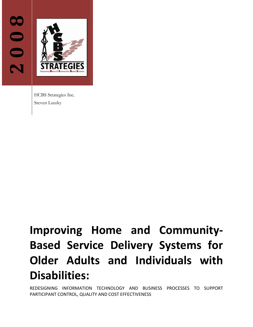



HCBS Strategies Inc. Steven Lutzky

# **Improving Home and Community‐ Based Service Delivery Systems for Older Adults and Individuals with Disabilities:**

REDESIGNING INFORMATION TECHNOLOGY AND BUSINESS PROCESSES TO SUPPORT PARTICIPANT CONTROL, QUALITY AND COST EFFECTIVENESS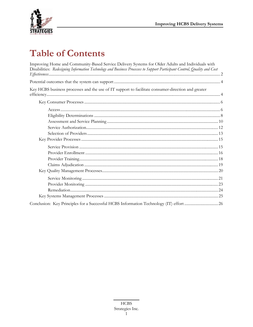

# **Table of Contents**

| Improving Home and Community-Based Service Delivery Systems for Older Adults and Individuals with<br>Disabilities: Redesigning Information Technology and Business Processes to Support Participant Control, Quality and Cost |  |
|-------------------------------------------------------------------------------------------------------------------------------------------------------------------------------------------------------------------------------|--|
|                                                                                                                                                                                                                               |  |
|                                                                                                                                                                                                                               |  |
| Key HCBS business processes and the use of IT support to facilitate consumer-direction and greater                                                                                                                            |  |
|                                                                                                                                                                                                                               |  |
|                                                                                                                                                                                                                               |  |
|                                                                                                                                                                                                                               |  |
|                                                                                                                                                                                                                               |  |
|                                                                                                                                                                                                                               |  |
|                                                                                                                                                                                                                               |  |
|                                                                                                                                                                                                                               |  |
|                                                                                                                                                                                                                               |  |
|                                                                                                                                                                                                                               |  |
|                                                                                                                                                                                                                               |  |
|                                                                                                                                                                                                                               |  |
|                                                                                                                                                                                                                               |  |
|                                                                                                                                                                                                                               |  |
|                                                                                                                                                                                                                               |  |
|                                                                                                                                                                                                                               |  |
|                                                                                                                                                                                                                               |  |
|                                                                                                                                                                                                                               |  |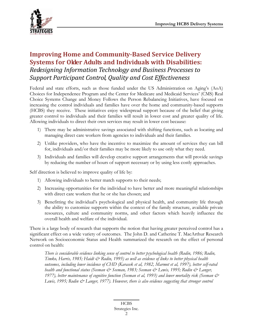<span id="page-2-0"></span>

# **Improving Home and CommunityBased Service Delivery Systems for Older Adults and Individuals with Disabilities:**  *Redesigning Information Technology and Business Processes to Support Participant Control, Quality and Cost Effectiveness*

Federal and state efforts, such as those funded under the US Administration on Aging's (AoA) Choices for Independence Program and the Center for Medicare and Medicaid Services' (CMS) Real Choice Systems Change and Money Follows the Person Rebalancing Initiatives, have focused on increasing the control individuals and families have over the home and community-based supports (HCBS) they receive. These initiatives enjoy widespread support because of the belief that giving greater control to individuals and their families will result in lower cost and greater quality of life. Allowing individuals to direct their own services may result in lower cost because:

- 1) There may be administrative savings associated with shifting functions, such as locating and managing direct care workers from agencies to individuals and their families.
- 2) Unlike providers, who have the incentive to maximize the amount of services they can bill for, individuals and/or their families may be more likely to use only what they need.
- 3) Individuals and families will develop creative support arrangements that will provide savings by reducing the number of hours of support necessary or by using less costly approaches.

Self direction is believed to improve quality of life by:

- 1) Allowing individuals to better match supports to their needs;
- 2) Increasing opportunities for the individual to have better and more meaningful relationships with direct care workers that he or she has chosen; and
- 3) Benefitting the individual's psychological and physical health, and community life through the ability to customize supports within the context of the family structure, available private resources, culture and community norms, and other factors which heavily influence the overall health and welfare of the individual.

There is a large body of research that supports the notion that having greater perceived control has a significant effect on a wide variety of outcomes. The John D. and Catherine T. MacArthur Research Network on Socioeconomic Status and Health summarized the research on the effect of personal control on health:

*There is considerable evidence linking sense of control to better psychological health (Rodin, 1986; Rodin, Timko, Harris, 1985; Haidt & Rodin, 1995) as well as evidence of links to better physical health outcomes, including lower incidence of CHD (Karasek et al, 1982, Marmot et al, 1997), better self-rated health and functional status (Seeman & Seeman, 1983; Seeman & Lewis, 1995; Rodin & Langer, 1977), better maintenance of cognitive function (Seeman et al, 1993) and lower mortality risk (Seeman &*  Lewis, 1995; Rodin & Langer, 1977). However, there is also evidence suggesting that stronger control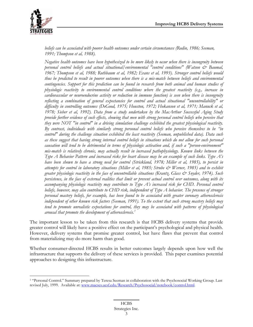<span id="page-3-0"></span>

 $\overline{a}$ 

*beliefs can be associated with poorer health outcomes under certain circumstances (Rodin, 1986; Seeman, 1991; Thompson et al, 1988).* 

*Negative health outcomes have been hypothesized to be more likely to occur when there is incongruity between personal control beliefs and actual situational/environmental "control conditions" (Watson & Baumal, 1967; Thompson et al, 1988; Rothbaum et al, 1982; Evans et al, 1993). Stronger control beliefs would thus be predicted to result in poorer outcomes when there is a mis-match between beliefs and environmental contingencies. Support for this prediction can be found in research from both animal and human studies of physiologic reactivity to environmental control conditions where the greatest reactivity (e.g., increase in cardiovascular or neuroendocrine activity or reduction in immune function) is seen when there is incongruity reflecting a combination of general expectancies for control and actual situational "uncontrollability" or difficulty in controlling outcomes (DeGood, 1975; Houston, 1972; Hokanson et al, 1971; Manuck et al, 1978; Sieber et al, 1992). Data from a study undertaken by the MacArthur Successful Aging Study provide further evidence of such effects, showing that men with strong personal control beliefs who perceive that they were NOT "in control" in a driving simulation challenge exhibited the greatest physiological reactivity. By contrast, individuals with similarly strong personal control beliefs who perceive themselves to be "in control" during the challenge situation exhibited the least reactivity (Seeman, unpublished data). Data such as these suggest that having strong internal control beliefs in situations which do not allow for such personal causation will tend to be detrimental in terms of physiologic activation and, if such a "person-environment" mis-match is relatively chronic, may actually result in increased pathophysiology. Known links between the Type A Behavior Pattern and increased risks for heart disease may be an example of such links. Type A's have been shown to have a strong need for control (Strickland, 1978; Miller et al, 1985), to persist in attempts for control in laboratory situations (Miller et al, 1985; Strube & Werner, 1985) and to exhibit greater physiologic reactivity in the face of uncontrollable situations (Krantz, Glass & Snyder, 1974). Such persistence, in the face of external realities that limit or prevent actual control over outcomes, along with its accompanying physiologic reactivity may contribute to Type A's increased risk for CHD. Personal control beliefs, however, may also contribute to CHD risk, independent of Type A behavior. The presence of stronger personal mastery beliefs, for example, has been found to be associated with greater coronary atherosclerosis independent of other known risk factors (Seeman, 1991). To the extent that such strong mastery beliefs may tend to promote unrealistic expectations for control, they may be associated with patterns of physiological arousal that promote the development of atherosclerosis.[1](#page-3-0)*

The important lesson to be taken from this research is that HCBS delivery systems that provide greater control will likely have a positive effect on the participant's psychological and physical health. However, delivery systems that promise greater control, but have flaws that prevent that control from materializing may do more harm than good.

Whether consumer-directed HCBS results in better outcomes largely depends upon how well the infrastructure that supports the delivery of these services is provided. This paper examines potential approaches to designing this infrastructure.

<sup>1 &</sup>quot;Personal Control." Summary prepared by Teresa Seeman in collaboration with the Psychosocial Working Group. Last revised July, 1999. Available at: [www.macses.ucsf.edu/Research/Psychosocial/notebook/control.html.](http://www.macses.ucsf.edu/Research/Psychosocial/notebook/control.html)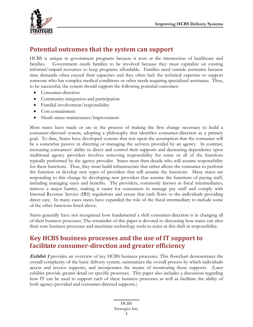<span id="page-4-0"></span>

# **Potential outcomes that the system can support**

HCBS is unique in government programs because it rests at the intersection of healthcare and families. Government needs families to be involved because they must capitalize on existing informal/unpaid resources to keep programs affordable. Families need outside assistance because time demands often exceed their capacities and they often lack the technical expertise to support someone who has complex medical conditions or other needs requiring specialized assistance. Thus, to be successful, the system should support the following potential outcomes:

- Consumer-direction
- Community integration and participation
- Familial involvement/responsibility
- Cost containment
- Heath status maintenance/improvement

Most states have made or are in the process of making the first change necessary to build a consumer-directed system, adopting a philosophy that identifies consumer-direction as a primary goal. To date, States have developed systems that rest upon the assumption that the consumer will be a somewhat passive in directing or managing the services provided by an agency. In contrast, increasing consumers' ability to direct and control their supports and decreasing dependence upon traditional agency providers involves removing responsibility for some or all of the functions typically performed by the agency provider. States must then decide who will assume responsibility for these functions. Thus, they must build infrastructure that either allows the consumer to perform the function or develop new types of providers that will assume the functions. Many states are responding to this change by developing new providers that assume the functions of paying staff, including managing taxes and benefits. The providers, commonly known as fiscal intermediaries, remove a major barrier, making it easier for consumers to manage pay staff and comply with Internal Revenue Service (IRS) regulations and assure that cash flows to the individuals providing direct care. In many cases states have expanded the role of the fiscal intermediary to include some of the other functions listed above.

States generally have not recognized how fundamental a shift consumer-direction is in changing all of their business processes. The remainder of this paper is devoted to discussing how states can alter their core business processes and maximize technology tools to assist in this shift in responsibility.

## **Key HCBS business processes and the use of IT support to facilitate consumerdirection and greater efficiency**

**Exhibit 1** provides an overview of key HCBS business processes. This flowchart demonstrates the overall complexity of the basic delivery system, summarizes the overall process by which individuals access and receive supports, and incorporates the means of monitoring those supports. (Later exhibits provide greater detail on specific processes. This paper also includes a discussion regarding how IT can be used to support each of these business processes as well as facilitate the ability of both agency-provided and consumer-directed supports.)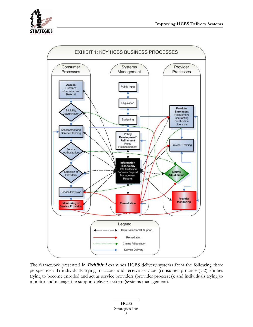



The framework presented in **Exhibit 1** examines HCBS delivery systems from the following three perspectives: 1) individuals trying to access and receive services (consumer processes); 2) entities trying to become enrolled and act as service providers (provider processes); and individuals trying to monitor and manage the support delivery system (systems management).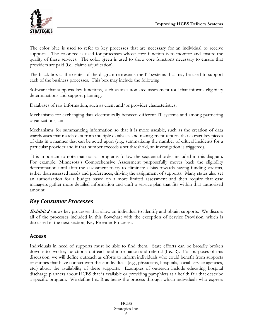<span id="page-6-0"></span>The color blue is used to refer to key processes that are necessary for an individual to receive supports. The color red is used for processes whose core function is to monitor and ensure the quality of these services. The color green is used to show core functions necessary to ensure that providers are paid (i.e., claims adjudication).

The black box at the center of the diagram represents the IT systems that may be used to support each of the business processes. This box may include the following:

Software that supports key functions, such as an automated assessment tool that informs eligibility determinations and support planning;

Databases of raw information, such as client and/or provider characteristics;

Mechanisms for exchanging data electronically between different IT systems and among partnering organizations; and

Mechanisms for summarizing information so that it is more useable, such as the creation of data warehouses that match data from multiple databases and management reports that extract key pieces of data in a manner that can be acted upon (e.g., summarizing the number of critical incidents for a particular provider and if that number exceeds a set threshold, an investigation is triggered).

 It is important to note that not all programs follow the sequential order included in this diagram. For example, Minnesota's Comprehensive Assessment purposefully moves back the eligibility determination until after the assessment to try to eliminate a bias towards having funding streams, rather than assessed needs and preferences, driving the assignment of supports. Many states also set an authorization for a budget based on a more limited assessment and then require that case managers gather more detailed information and craft a service plan that fits within that authorized amount.

#### *Key Consumer Processes*

**Exhibit 2** shows key processes that allow an individual to identify and obtain supports. We discuss all of the processes included in this flowchart with the exception of Service Provision, which is discussed in the next section, Key Provider Processes.

#### **Access**

Individuals in need of supports must be able to find them. State efforts can be broadly broken down into two key functions: outreach and information and referral (I & R). For purposes of this discussion, we will define outreach as efforts to inform individuals who could benefit from supports or entities that have contact with these individuals (e.g., physicians, hospitals, social service agencies, etc.) about the availability of these supports. Examples of outreach include educating hospital discharge planners about HCBS that is available or providing pamphlets at a health fair that describe a specific program. We define I & R as being the process through which individuals who express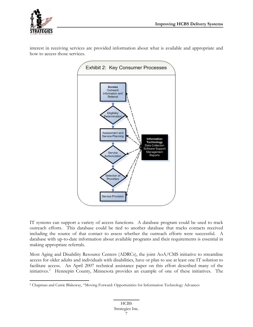<span id="page-7-0"></span>

interest in receiving services are provided information about what is available and appropriate and how to access those services.



IT systems can support a variety of access functions. A database program could be used to track outreach efforts. This database could be tied to another database that tracks contacts received including the source of that contact to assess whether the outreach efforts were successful. A database with up-to-date information about available programs and their requirements is essential in making appropriate referrals.

Most Aging and Disability Resource Centers (ADRCs), the joint AoA/CMS initiative to streamline access for older adults and individuals with disabilities, have or plan to use at least one IT solution to facilitate access. An April 2007 technical assistance paper on this effort described many of the initiatives.<sup>[2](#page-7-0)</sup> Hennepin County, Minnesota provides an example of one of these initiatives. The

 $\overline{a}$ 2 Chapman and Carrie Blakeway, "Moving Forward: Opportunities for Information Technology Advances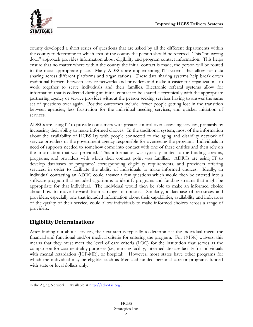<span id="page-8-0"></span>

county developed a short series of questions that are asked by all the different departments within the county to determine to which area of the county the person should be referred. This "no wrong door" approach provides information about eligibility and program contact information. This helps ensure that no matter where within the county the initial contact is made, the person will be routed to the most appropriate place. Many ADRCs are implementing IT systems that allow for data sharing across different platforms and organizations. These data sharing systems help break down traditional barriers between service networks and providers and make it easier for organizations to work together to serve individuals and their families. Electronic referral systems allow for information that is collected during an initial contact to be shared electronically with the appropriate partnering agency or service provider without the person seeking services having to answer the same set of questions over again. Positive outcomes include: fewer people getting lost in the transition between agencies, less frustration for the individual needing services, and quicker initiation of services.

ADRCs are using IT to provide consumers with greater control over accessing services, primarily by increasing their ability to make informed choices. In the traditional system, most of the information about the availability of HCBS lay with people connected to the aging and disability network of service providers or the government agency responsible for overseeing the program. Individuals in need of supports needed to somehow come into contact with one of these entities and then rely on the information that was provided. This information was typically limited to the funding streams, programs, and providers with which their contact point was familiar. ADRCs are using IT to develop databases of programs' corresponding eligibility requirements, and providers offering services, in order to facilitate the ability of individuals to make informed choices. Ideally, an individual contacting an ADRC could answer a few questions which would then be entered into a software program that included algorithms to identify programs and funding streams that might be appropriate for that individual. The individual would then be able to make an informed choice about how to move forward from a range of options. Similarly, a database of resources and providers, especially one that included information about their capabilities, availability and indicators of the quality of their service, could allow individuals to make informed choices across a range of providers.

#### **Eligibility Determinations**

 $\overline{a}$ 

After finding out about services, the next step is typically to determine if the individual meets the financial and functional and/or medical criteria for entering the program. For 1915(c) waivers, this means that they must meet the level of care criteria (LOC) for the institution that serves as the comparison for cost neutrality purposes (i.e., nursing facility, intermediate care facility for individuals with mental retardation (ICF-MR), or hospital). However, most states have other programs for which the individual may be eligible, such as Medicaid funded personal care or programs funded with state or local dollars only.

in the Aging Network." Available at [http://adrc-tae.org](http://adrc-tae.org/).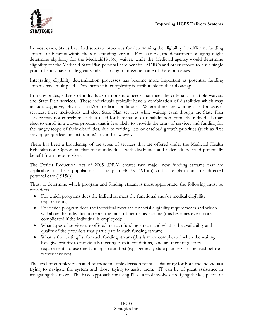

In most cases, States have had separate processes for determining the eligibility for different funding streams or benefits within the same funding stream. For example, the department on aging might determine eligibility for the Medicaid1915(c) waiver, while the Medicaid agency would determine eligibility for the Medicaid State Plan personal care benefit. ADRCs and other efforts to build single point of entry have made great strides at trying to integrate some of these processes.

Integrating eligibility determination processes has become more important as potential funding streams have multiplied. This increase in complexity is attributable to the following:

In many States, subsets of individuals demonstrate needs that meet the criteria of multiple waivers and State Plan services. These individuals typically have a combination of disabilities which may include cognitive, physical, and/or medical conditions. Where there are waiting lists for waiver services, these individuals will elect State Plan services while waiting even though the State Plan service may not entirely meet their need for habilitation or rehabilitation. Similarly, individuals may elect to enroll in a waiver program that is less likely to provide the array of services and funding for the range/scope of their disabilities, due to waiting lists or caseload growth priorities (such as first serving people leaving institutions) in another waiver.

There has been a broadening of the types of services that are offered under the Medicaid Health Rehabilitation Option, so that many individuals with disabilities and older adults could potentially benefit from these services.

The Deficit Reduction Act of 2005 (DRA) creates two major new funding streams that are applicable for these populations: state plan HCBS (1915(i)) and state plan consumer-directed personal care (1915(j)).

Thus, to determine which program and funding stream is most appropriate, the following must be considered:

- For which programs does the individual meet the functional and/or medical eligibility requirements;
- For which program does the individual meet the financial eligibility requirements and which will allow the individual to retain the most of her or his income (this becomes even more complicated if the individual is employed);
- What types of services are offered by each funding stream and what is the availability and quality of the providers that participate in each funding stream;
- What is the waiting list for each funding stream (this is more complicated when the waiting lists give priority to individuals meeting certain conditions); and are there regulatory requirements to use one funding stream first (e.g., generally state plan services be used before waiver services)

The level of complexity created by these multiple decision points is daunting for both the individuals trying to navigate the system and those trying to assist them. IT can be of great assistance in navigating this maze. The basic approach for using IT as a tool involves codifying the key pieces of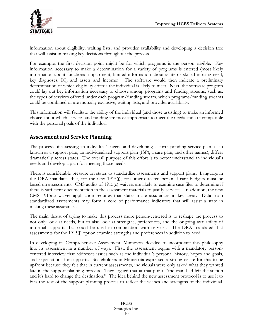<span id="page-10-0"></span>

information about eligibility, waiting lists, and provider availability and developing a decision tree that will assist in making key decisions throughout the process.

For example, the first decision point might be for which programs is the person eligible. Key information necessary to make a determination for a variety of programs is entered (most likely information about functional impairment, limited information about acute or skilled nursing need, key diagnoses, IQ, and assets and income). The software would then indicate a preliminary determination of which eligibility criteria the individual is likely to meet. Next, the software program could lay out key information necessary to choose among programs and funding streams, such as: the types of services offered under each program/funding stream, which programs/funding streams could be combined or are mutually exclusive, waiting lists, and provider availability.

This information will facilitate the ability of the individual (and those assisting) to make an informed choice about which services and funding are most appropriate to meet the needs and are compatible with the personal goals of the individual.

#### **Assessment and Service Planning**

The process of assessing an individual's needs and developing a corresponding service plan, (also known as a support plan, an individualized support plan (ISP), a care plan, and other names), differs dramatically across states. The overall purpose of this effort is to better understand an individual's needs and develop a plan for meeting those needs.

There is considerable pressure on states to standardize assessments and support plans. Language in the DRA mandates that, for the new 1915(j), consumer-directed personal care budgets must be based on assessments. CMS audits of 1915(c) waivers are likely to examine case files to determine if there is sufficient documentation in the assessment materials to justify services. In addition, the new CMS 1915(c) waiver application requires that states make assurances in key areas. Data from standardized assessments may form a core of performance indicators that will assist a state in making these assurances.

The main thrust of trying to make this process more person-centered is to reshape the process to not only look at needs, but to also look at strengths, preferences, and the ongoing availability of informal supports that could be used in combination with services. The DRA mandated that assessments for the 1915(j) option examine strengths and preferences in addition to need.

In developing its Comprehensive Assessment, Minnesota decided to incorporate this philosophy into its assessment in a number of ways. First, the assessment begins with a mandatory personcentered interview that addresses issues such as the individual's personal history, hopes and goals, and expectations for supports. Stakeholders in Minnesota expressed a strong desire for this to be upfront because they felt that in current assessments, individuals were only asked what they wanted late in the support planning process. They argued that at that point, "the train had left the station and it's hard to change the destination." The idea behind the new assessment protocol is to use it to bias the rest of the support planning process to reflect the wishes and strengths of the individual.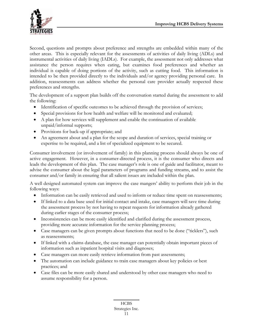

Second, questions and prompts about preference and strengths are embedded within many of the other areas. This is especially relevant for the assessments of activities of daily living (ADLs) and instrumental activities of daily living (IADLs). For example, the assessment not only addresses what assistance the person requires when eating, but examines food preferences and whether an individual is capable of doing portions of the activity, such as cutting food. This information is intended to be then provided directly to the individuals and/or agency providing personal care. In addition, reassessments can address whether the personal care provider actually respected these preferences and strengths.

The development of a support plan builds off the conversation started during the assessment to add the following:

- Identification of specific outcomes to be achieved through the provision of services;
- Special provisions for how health and welfare will be monitored and evaluated;
- A plan for how services will supplement and enable the continuation of available unpaid/informal supports;
- Provisions for back-up if appropriate; and
- An agreement about and a plan for the scope and duration of services, special training or expertise to be required, and a list of specialized equipment to be secured.

Consumer involvement (or involvement of family) in this planning process should always be one of active engagement. However, in a consumer-directed process, it is the consumer who directs and leads the development of this plan. The case manager's role is one of guide and facilitator, meant to advise the consumer about the legal parameters of programs and funding streams, and to assist the consumer and/or family in ensuring that all salient issues are included within the plan.

A well designed automated system can improve the case mangers' ability to perform their job in the following ways:

- Information can be easily retrieved and used to inform or reduce time spent on reassessments;
- If linked to a data base used for initial contact and intake, case managers will save time during the assessment process by not having to repeat requests for information already gathered during earlier stages of the consumer process;
- Inconsistencies can be more easily identified and clarified during the assessment process, providing more accurate information for the service planning process;
- Case managers can be given prompts about functions that need to be done ("ticklers"), such as reassessments;
- If linked with a claims database, the case manager can potentially obtain important pieces of information such as inpatient hospital visits and diagnoses;
- Case managers can more easily retrieve information from past assessments;
- The automation can include guidance to train case managers about key policies or best practices; and
- Case files can be more easily shared and understood by other case managers who need to assume responsibility for a person.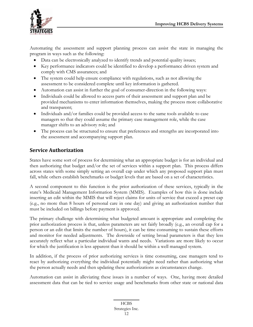<span id="page-12-0"></span>

Automating the assessment and support planning process can assist the state in managing the program in ways such as the following:

- Data can be electronically analyzed to identify trends and potential quality issues;
- Key performance indicators could be identified to develop a performance driven system and comply with CMS assurances; and
- The system could help ensure compliance with regulations, such as not allowing the assessment to be considered complete until key information is gathered.
- Automation can assist in further the goal of consumer-direction in the following ways:
- Individuals could be allowed to access parts of their assessment and support plan and be provided mechanisms to enter information themselves, making the process more collaborative and transparent;
- Individuals and/or families could be provided access to the same tools available to case managers so that they could assume the primary case management role, while the case manager shifts to an advisory role; and
- The process can be structured to ensure that preferences and strengths are incorporated into the assessment and accompanying support plan.

#### **Service Authorization**

States have some sort of process for determining what an appropriate budget is for an individual and then authorizing that budget and/or the set of services within a support plan. This process differs across states with some simply setting an overall cap under which any proposed support plan must fall, while others establish benchmarks or budget levels that are based on a set of characteristics.

A second component to this function is the prior authorization of these services, typically in the state's Medicaid Management Information System (MMIS). Examples of how this is done include inserting an edit within the MMIS that will reject claims for units of service that exceed a preset cap (e.g., no more than 8 hours of personal care in one day) and giving an authorization number that must be included on billings before payment is approved.

The primary challenge with determining what budgeted amount is appropriate and completing the prior authorization process is that, unless parameters are set fairly broadly (e.g., an overall cap for a person or an edit that limits the number of hours), it can be time consuming to sustain these efforts and monitor for needed adjustments. The downside of setting broad parameters is that they less accurately reflect what a particular individual wants and needs. Variations are more likely to occur for which the justification is less apparent than it should be within a well managed system.

In addition, if the process of prior authorizing services is time consuming, case managers tend to react by authorizing everything the individual potentially might need rather than authorizing what the person actually needs and then updating these authorizations as circumstances change.

Automation can assist in alleviating these issues in a number of ways. One, having more detailed assessment data that can be tied to service usage and benchmarks from other state or national data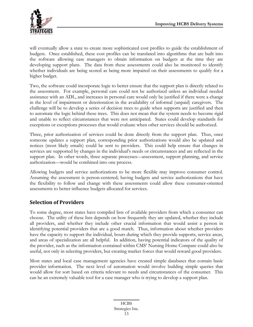<span id="page-13-0"></span>

will eventually allow a state to create more sophisticated cost profiles to guide the establishment of budgets. Once established, these cost profiles can be translated into algorithms that are built into the software allowing case managers to obtain information on budgets at the time they are developing support plans. The data from these assessments could also be monitored to identify whether individuals are being scored as being more impaired on their assessments to qualify for a higher budget.

Two, the software could incorporate logic to better ensure that the support plan is directly related to the assessment. For example, personal care could not be authorized unless an individual needed assistance with an ADL, and increases in personal care would only be justified if there were a change in the level of impairment or deterioration in the availability of informal (unpaid) caregivers. The challenge will be to develop a series of decision trees to guide when supports are justified and then to automate the logic behind these trees. This does not mean that the system needs to become rigid and unable to reflect circumstances that were not anticipated. States could develop standards for exceptions or exceptions processes that would evaluate when other services should be authorized.

Three, prior authorization of services could be done directly from the support plan. Thus, once someone updates a support plan, corresponding prior authorizations would also be updated and notices (most likely emails) could be sent to providers. This could help ensure that changes in services are supported by changes in the individual's needs or circumstances and are reflected in the support plan. In other words, three separate processes—assessment, support planning, and service authorization—would be combined into one process.

Allowing budgets and service authorizations to be more flexible may improve consumer control. Assuming the assessment is person-centered; having budgets and service authorizations that have the flexibility to follow and change with these assessments could allow these consumer-oriented assessments to better influence budgets allocated for services.

#### **Selection of Providers**

To some degree, most states have compiled lists of available providers from which a consumer can choose. The utility of these lists depends on how frequently they are updated, whether they include all providers, and whether they include other crucial information that would assist a person in identifying potential providers that are a good match. Thus, information about whether providers have the capacity to support the individual, hours during which they provide supports, service areas, and areas of specialization are all helpful. In addition, having potential indicators of the quality of the provider, such as the information contained within CMS' Nursing Home Compare could also be useful, not only in selecting providers, but creating market forces that would reward good providers.

Most states and local case management agencies have created simple databases that contain basic provider information. The next level of automation would involve building simple queries that would allow for sort based on criteria relevant to needs and circumstances of the consumer. This can be an extremely valuable tool for a case manager who is trying to develop a support plan.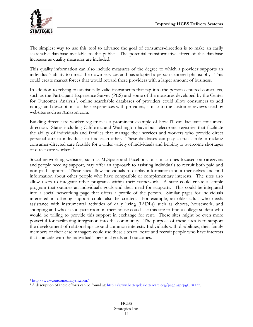<span id="page-14-0"></span>

The simplest way to use this tool to advance the goal of consumer-direction is to make an easily searchable database available to the public. The potential transformative effect of this database increases as quality measures are included.

This quality information can also include measures of the degree to which a provider supports an individual's ability to direct their own services and has adopted a person-centered philosophy. This could create market forces that would reward these providers with a larger amount of business.

In addition to relying on statistically valid instruments that tap into the person centered constructs, such as the Participant Experience Survey (PES) and some of the measures developed by the Center for Outcomes Analysis<sup>[3](#page-14-0)</sup>, online searchable databases of providers could allow consumers to add ratings and descriptions of their experiences with providers, similar to the customer reviews used by websites such as Amazon.com.

Building direct care worker registries is a prominent example of how IT can facilitate consumerdirection. States including California and Washington have built electronic registries that facilitate the ability of individuals and families that manage their services and workers who provide direct personal care to individuals to find each other. These databases can play a crucial role in making consumer-directed care feasible for a wider variety of individuals and helping to overcome shortages of direct care workers.[4](#page-14-0)

Social networking websites, such as MySpace and Facebook or similar ones focused on caregivers and people needing support, may offer an approach to assisting individuals to recruit both paid and non-paid supports. These sites allow individuals to display information about themselves and find information about other people who have compatible or complementary interests. The sites also allow users to integrate other programs within their framework. A state could create a simple program that outlines an individual's goals and their need for supports. This could be integrated into a social networking page that offers a profile of the person. Similar pages for individuals interested in offering support could also be created. For example, an older adult who needs assistance with instrumental activities of daily living (IADLs) such as chores, housework, and shopping and who has a spare room in their house could use this site to find a college student who would be willing to provide this support in exchange for rent. These sites might be even more powerful for facilitating integration into the community. The purpose of these sites is to support the development of relationships around common interests. Individuals with disabilities, their family members or their case managers could use these sites to locate and recruit people who have interests that coincide with the individual's personal goals and outcomes.

 $\overline{a}$ 

<sup>&</sup>lt;sup>3</sup> http://www.outcomeanalysis.com/<br><sup>4</sup> A description of these efforts can be found at: <u>http://www.betterjobsbettercare.org/page.asp?pgID=172</u>.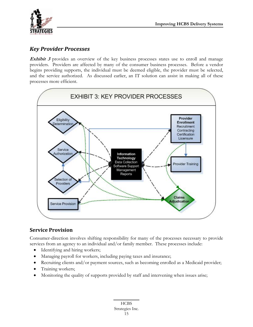<span id="page-15-0"></span>

#### *Key Provider Processes*

**Exhibit 3** provides an overview of the key business processes states use to enroll and manage providers. Providers are affected by many of the consumer business processes. Before a vendor begins providing supports, the individual must be deemed eligible, the provider must be selected, and the service authorized. As discussed earlier, an IT solution can assist in making all of these processes more efficient.



#### **Service Provision**

Consumer-direction involves shifting responsibility for many of the processes necessary to provide services from an agency to an individual and/or family member. These processes include:

- Identifying and hiring workers;
- Managing payroll for workers, including paying taxes and insurance;
- Recruiting clients and/or payment sources, such as becoming enrolled as a Medicaid provider;
- Training workers;
- Monitoring the quality of supports provided by staff and intervening when issues arise;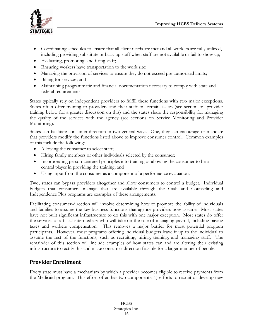<span id="page-16-0"></span>

- Coordinating schedules to ensure that all client needs are met and all workers are fully utilized, including providing substitute or back-up staff when staff are not available or fail to show up;
- Evaluating, promoting, and firing staff;
- Ensuring workers have transportation to the work site;
- Managing the provision of services to ensure they do not exceed pre-authorized limits;
- Billing for services; and
- Maintaining programmatic and financial documentation necessary to comply with state and federal requirements.

States typically rely on independent providers to fulfill these functions with two major exceptions. States often offer training to providers and their staff on certain issues (see section on provider training below for a greater discussion on this) and the states share the responsibility for managing the quality of the services with the agency (see sections on Service Monitoring and Provider Monitoring).

States can facilitate consumer-direction in two general ways. One, they can encourage or mandate that providers modify the functions listed above to improve consumer control. Common examples of this include the following:

- Allowing the consumer to select staff;
- Hiring family members or other individuals selected by the consumer;
- Incorporating person-centered principles into training or allowing the consumer to be a central player in providing the training; and
- Using input from the consumer as a component of a performance evaluation.

Two, states can bypass providers altogether and allow consumers to control a budget. Individual budgets that consumers manage that are available through the Cash and Counseling and Independence Plus programs are examples of these arrangements.

Facilitating consumer-direction will involve determining how to promote the ability of individuals and families to assume the key business functions that agency providers now assume. Most states have not built significant infrastructure to do this with one major exception. Most states do offer the services of a fiscal intermediary who will take on the role of managing payroll, including paying taxes and workers compensation. This removes a major barrier for most potential program participants. However, most programs offering individual budgets leave it up to the individual to assume the rest of the functions, such as recruiting, hiring, training, and managing staff. The remainder of this section will include examples of how states can and are altering their existing infrastructure to rectify this and make consumer-direction feasible for a larger number of people.

#### **Provider Enrollment**

Every state must have a mechanism by which a provider becomes eligible to receive payments from the Medicaid program. This effort often has two components: 1) efforts to recruit or develop new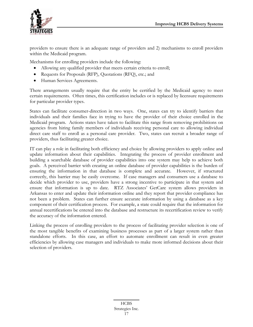

providers to ensure there is an adequate range of providers and 2) mechanisms to enroll providers within the Medicaid program.

Mechanisms for enrolling providers include the following:

- Allowing any qualified provider that meets certain criteria to enroll;
- Requests for Proposals (RFP), Quotations (RFQ), etc.; and
- Human Services Agreements.

There arrangements usually require that the entity be certified by the Medicaid agency to meet certain requirements. Often times, this certification includes or is replaced by licensure requirements for particular provider types.

States can facilitate consumer-direction in two ways. One, states can try to identify barriers that individuals and their families face in trying to have the provider of their choice enrolled in the Medicaid program. Actions states have taken to facilitate this range from removing prohibitions on agencies from hiring family members of individuals receiving personal care to allowing individual direct care staff to enroll as a personal care provider. Two, states can recruit a broader range of providers, thus facilitating greater choice.

IT can play a role in facilitating both efficiency and choice by allowing providers to apply online and update information about their capabilities. Integrating the process of provider enrollment and building a searchable database of provider capabilities into one system may help to achieve both goals. A perceived barrier with creating an online database of provider capabilities is the burden of ensuring the information in that database is complete and accurate. However, if structured correctly, this barrier may be easily overcome. If case managers and consumers use a database to decide which provider to use, providers have a strong incentive to participate in that system and ensure that information is up to date. RTZ Associates' GetCare system allows providers in Arkansas to enter and update their information online and they report that provider compliance has not been a problem. States can further ensure accurate information by using a database as a key component of their certification process. For example, a state could require that the information for annual recertifications be entered into the database and restructure its recertification review to verify the accuracy of the information entered.

Linking the process of enrolling providers to the process of facilitating provider selection is one of the most tangible benefits of examining business processes as part of a larger system rather than standalone efforts. In this case, an effort to automate enrollment can result in even greater efficiencies by allowing case managers and individuals to make more informed decisions about their selection of providers.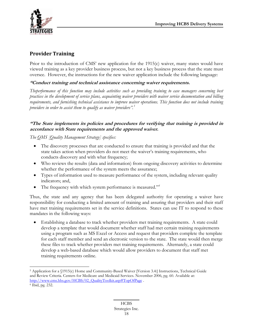<span id="page-18-0"></span>

#### **Provider Training**

Prior to the introduction of CMS' new application for the 1915(c) waiver, many states would have viewed training as a key provider business process, but not a key business process that the state must oversee. However, the instructions for the new waiver application include the following language:

#### **"Conduct training and technical assistance concerning waiver requirements.**

*Theperformance of this function may include activities such as providing training to case managers concerning best practices in the development of service plans, acquainting waiver providers with waiver service documentation and billing requirements, and furnishing technical assistance to improve waiver operations. This function does not include training providers in order to assist them to qualify as waiver providers".[5](#page-18-0)*

#### **"The State implements its policies and procedures for verifying that training is provided in accordance with State requirements and the approved waiver.**

*The QMS [Quality Management Strategy] specifies:* 

- The discovery processes that are conducted to ensure that training is provided and that the state takes action when providers do not meet the waiver's training requirements, who conducts discovery and with what frequency;
- Who reviews the results (data and information) from ongoing discovery activities to determine whether the performance of the system meets the assurance;
- Types of information used to measure performance of the system, including relevant quality indicators; and,
- The frequency with which system performance is measured."<sup>[6](#page-18-0)</sup>

Thus, the state and any agency that has been delegated authority for operating a waiver have responsibility for conducting a limited amount of training and assuring that providers and their staff have met training requirements set in the service definitions. States can use IT to respond to these mandates in the following ways:

• Establishing a database to track whether providers met training requirements. A state could develop a template that would document whether staff had met certain training requirements using a program such as MS Excel or Access and request that providers complete the template for each staff member and send an electronic version to the state. The state would then merge these files to track whether providers met training requirements. Alternately, a state could develop a web-based database which would allow providers to document that staff met training requirements online.

 $\overline{a}$ 5 Application for a §1915(c) Home and Community-Based Waiver [Version 3.4:] Instructions, Technical Guide and Review Criteria. Centers for Medicare and Medicaid Services. November 2006, pg. 60. Available at: [http://www.cms.hhs.gov/HCBS/02\\_QualityToolkit.asp#TopOfPage](http://www.cms.hhs.gov/HCBS/02_QualityToolkit.asp#TopOfPage) . 6 Ibid, pg. 232.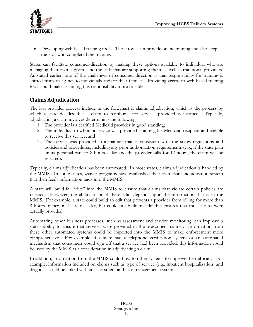<span id="page-19-0"></span>

• Developing web-based training tools. These tools can provide online training and also keep track of who completed the training.

States can facilitate consumer-direction by making these options available to individual who are managing their own supports and the staff that are supporting them, as well as traditional providers. As stated earlier, one of the challenges of consumer-direction is that responsibility for training is shifted from an agency to individuals and/or their families. Providing access to web-based training tools could make assuming this responsibility more feasible.

#### **Claims Adjudication**

The last provider process include in the flowchart is claims adjudication, which is the process by which a state decides that a claim to reimburse for services provided is justified. Typically, adjudicating a claim involves determining the following:

- 1. The provider is a certified Medicaid provider in good standing;
- 2. The individual to whom a service was provided is an eligible Medicaid recipient and eligible to receive this service; and
- 3. The service was provided in a manner that is consistent with the states regulations and policies and procedures, including any prior authorization requirements (e.g., if the state plan limits personal care to 8 hours a day and the provider bills for 12 hours, the claim will be rejected).

Typically, claims adjudication has been automated. In most states, claims adjudication is handled by the MMIS. In some states, waiver programs have established their own claims adjudication system that then feeds information back into the MMIS.

A state will build in "edits" into the MMIS to ensure that claims that violate certain policies are rejected. However, the ability to build these edits depends upon the information that is in the MMIS. For example, a state could build an edit that prevents a provider from billing for more than 8 hours of personal care in a day, but could not build an edit that ensures that those hours were actually provided.

Automating other business processes, such as assessment and service monitoring, can improve a state's ability to ensure that services were provided in the prescribed manner. Information from these other automated systems could be imported into the MMIS to make enforcement more comprehensive. For example, if a state had a telephone verification system or an automated mechanism that consumers could sign off that a service had been provided, this information could be used by the MMIS as a consideration in adjudicating a claim.

In addition, information from the MMIS could flow to other systems to improve their efficacy. For example, information included on claims such as type of service (e.g., inpatient hospitalization) and diagnosis could be linked with an assessment and case management system.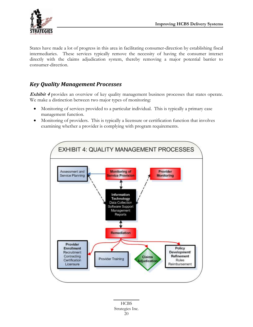<span id="page-20-0"></span>

States have made a lot of progress in this area in facilitating consumer-direction by establishing fiscal intermediaries. These services typically remove the necessity of having the consumer interact directly with the claims adjudication system, thereby removing a major potential barrier to consumer-direction.

### *Key Quality Management Processes*

**Exhibit 4** provides an overview of key quality management business processes that states operate. We make a distinction between two major types of monitoring:

- Monitoring of services provided to a particular individual. This is typically a primary case management function.
- Monitoring of providers. This is typically a licensure or certification function that involves examining whether a provider is complying with program requirements.

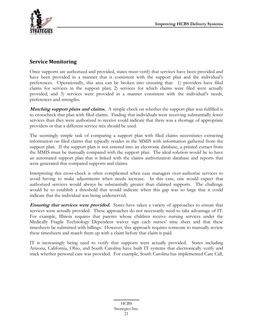<span id="page-21-0"></span>

#### **Service Monitoring**

Once supports are authorized and provided, states must verify that services have been provided and have been provided in a manner that is consistent with the support plan and the individual's preferences. Operationally, this area can be broken into ensuring that: 1) providers have filed claims for services in the support plan; 2) services for which claims were filed were actually provided; and 3) services were provided in a manner consistent with the individual's needs, preferences and strengths.

**Matching support plans and claims.** A simple check on whether the support plan was fulfilled is to crosscheck that plan with filed claims. Finding that individuals were receiving substantially fewer services than they were authorized to receive could indicate that there was a shortage of appropriate providers or that a different service mix should be used.

The seemingly simple task of comparing a support plan with filed claims necessitates extracting information on filed claims that typically resides in the MMIS with information gathered from the support plan. If the support plan is not entered into an electronic database, a printed extract from the MMIS must be manually compared with the support plan. The ideal solution would be to have an automated support plan that is linked with the claims authorization database and reports that were generated that compared supports and claims.

Interpreting this cross-check is often complicated when case managers over-authorize services to avoid having to make adjustments when needs increase. In this case, one would expect that authorized services would always be substantially greater than claimed supports. The challenge would be to establish a threshold that would indicate when this gap was so large that it could indicate that the individual was being underserved.

**Ensuring that services were provided.** States have taken a variety of approaches to ensure that services were actually provided. These approaches do not necessarily need to take advantage of IT. For example, Illinois requires that parents whose children receive nursing services under the Medically Fragile Technology Dependent waiver sign each nurses' time sheet and that these timesheets be submitted with billings. However, this approach requires someone to manually review these timesheets and match them up with a claim before that claim is paid.

IT is increasingly being used to verify that supports were actually provided. States including Arizona, California, Ohio, and South Carolina have built IT systems that electronically verify and track whether personal care was provided. For example, South Carolina has implemented Care Call,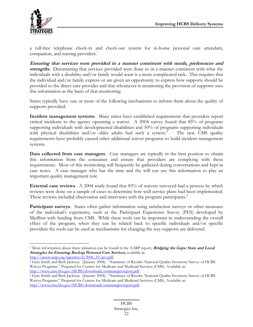<span id="page-22-0"></span>

a toll-free telephone check-in and check-out system for in-home personal care attendant, companion, and nursing providers.<sup>[7](#page-22-0)</sup>

**Ensuring that services were provided in a manner consistent with needs, preferences and strengths**. Determining that services provided were done so in a manner consistent with what the individuals with a disability and/or family would want is a more complicated task. This requires that the individual and/or family express or are given an opportunity to express how supports should be provided to the direct care provider and that whomever is monitoring the provision of supports uses this information as the basis of that monitoring.

States typically have one or more of the following mechanisms to inform them about the quality of supports provided:

**Incident management systems**. Many states have established requirements that providers report critical incidents to the agency operating a waiver. A 2004 survey found that 85% of programs supporting individuals with developmental disabilities and 50% of programs supporting individuals with physical disabilities and/or older adults had such a system. $8$  The new CMS quality requirements have probably caused other additional waiver programs to build incident management systems.

**Data collected from case managers**. Case managers are typically in the best position to obtain this information from the consumer and ensure that providers are complying with these requirements. Most of this monitoring will frequently be gathered during conversations and kept in case notes. A case manager who has the time and the will can use this information to play an important quality management role.

**External case reviews**. A 2004 study found that 83% of waivers surveyed had a process by which reviews were done on a sample of cases to determine how well service plans had been implemented. These reviews included observation and interviews with the program participants.<sup>[9](#page-22-0)</sup>

**Participant surveys**. States often gather information using satisfaction surveys or other measures of the individual's experience, such as the Participant Experience Survey (PES) developed by MedStat with funding from CMS. While these tools can be important in understanding the overall effect of the program, when they can be related back to specific individuals and/or specific providers the tools can be used as mechanisms for changing the way supports are delivered.

 $\overline{a}$ 7 More information about these initiatives can be found in the AARP report, **Bridging the Gaps: State and Local Strategies for Ensuring Backup Personal Care Services**, available at:

[http://assets.aarp.org/rgcenter/il/2006\\_19\\_pcs.pdf.](http://assets.aarp.org/rgcenter/il/2006_19_pcs.pdf)<br><sup>8</sup> Gary Smith and Beth Jackson. (January 2004). "Summary of Results: National Quality Inventory Survey of HCBS Waiver Programs." Prepared for Centers for Medicare and Medicaid Services (CMS). Available at:

<http://www.cms.hhs.gov/HCBS/downloads/sumnatqinvreport.pdf> .<br>9 Gary Smith and Beth Jackson. (January 2004). "Summary of Results: National Quality Inventory Survey of HCBS Waiver Programs." Prepared for Centers for Medicare and Medicaid Services (CMS). Available at: <http://www.cms.hhs.gov/HCBS/downloads/sumnatqinvreport.pdf>.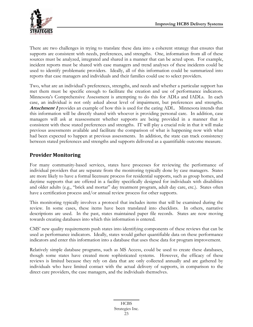<span id="page-23-0"></span>There are two challenges in trying to translate these data into a coherent strategy that ensures that supports are consistent with needs, preferences, and strengths. One, information from all of these sources must be analyzed, integrated and shared in a manner that can be acted upon. For example, incident reports must be shared with case managers and trend analyses of these incidents could be used to identify problematic providers. Ideally, all of this information could be summarized into reports that case managers and individuals and their families could use to select providers.

Two, what are an individual's preferences, strengths, and needs and whether a particular support has met them must be specific enough to facilitate the creation and use of performance indicators. Minnesota's Comprehensive Assessment is attempting to do this for ADLs and IADLs. In each case, an individual is not only asked about level of impairment, but preferences and strengths. **Attachment 1** provides an example of how this is used for the eating ADL. Minnesota intends that this information will be directly shared with whoever is providing personal care. In addition, case managers will ask at reassessment whether supports are being provided in a manner that is consistent with these stated preferences and strengths. IT will play a crucial role in that it will make previous assessments available and facilitate the comparison of what is happening now with what had been expected to happen at previous assessments. In addition, the state can track consistency between stated preferences and strengths and supports delivered as a quantifiable outcome measure.

#### **Provider Monitoring**

For many community-based services, states have processes for reviewing the performance of individual providers that are separate from the monitoring typically done by case managers. States are more likely to have a formal licensure process for residential supports, such as group homes, and daytime supports that are offered in a facility specifically designed for individuals with disabilities and older adults (e.g., "brick and mortar" day treatment program, adult day care, etc.). States often have a certification process and/or annual review process for other supports.

This monitoring typically involves a protocol that includes items that will be examined during the review. In some cases, these items have been translated into checklists. In others, narrative descriptions are used. In the past, states maintained paper file records. States are now moving towards creating databases into which this information is entered.

CMS' new quality requirements push states into identifying components of these reviews that can be used as performance indicators. Ideally, states would gather quantifiable data on these performance indicators and enter this information into a database that uses these data for program improvement.

Relatively simple database programs, such as MS Access, could be used to create these databases, though some states have created more sophisticated systems. However, the efficacy of these reviews is limited because they rely on data that are only collected annually and are gathered by individuals who have limited contact with the actual delivery of supports, in comparison to the direct care providers, the case managers, and the individuals themselves.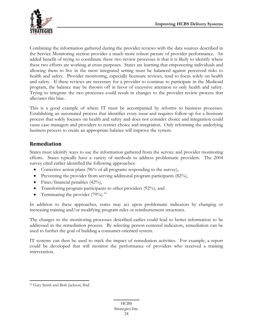<span id="page-24-0"></span>

Combining the information gathered during the provider reviews with the data sources described in the Service Monitoring section provides a much more robust picture of provider performance. An added benefit of trying to coordinate these two review processes is that it is likely to identify where these two efforts are working at cross purposes. States are learning that empowering individuals and allowing them to live in the most integrated setting must be balanced against perceived risks to health and safety. Provider monitoring, especially licensure reviews, tend to focus solely on health and safety. If these reviews are necessary for a provider to continue to participate in the Medicaid program, the balance may be thrown off in favor of excessive attention to only health and safety. Trying to integrate the two processes could result in changes to the provider review process that alleviates this bias.

This is a good example of where IT must be accompanied by reforms to business processes. Establishing an automated process that identifies every issue and requires follow-up for a licensure process that solely focuses on health and safety and does not consider choice and integration could cause case managers and providers to restrict choice and integration. Only reforming the underlying business process to create an appropriate balance will improve the system.

#### **Remediation**

States must identify ways to use the information gathered from the service and provider monitoring efforts. States typically have a variety of methods to address problematic providers. The 2004 survey cited earlier identified the following approaches:

- Corrective action plans (96% of all programs responding to the survey),
- Preventing the provider from serving additional program participants (82%),
- Fines/financial penalties  $(42\%)$ ,
- Transferring program participants to other providers (92%), and
- Terminating the provider  $(79\%)$ .<sup>[10](#page-24-0)</sup>

In addition to these approaches, states may act upon problematic indicators by changing or increasing training and/or modifying program rules or reimbursement structures.

The changes to the monitoring processes described earlier could lead to better information to be addressed in the remediation process. By selecting person-centered indicators, remediation can be used to further the goal of building a consumer-oriented system.

IT systems can then be used to track the impact of remediation activities. For example, a report could be developed that will monitor the performance of providers who received a training intervention.

 $\overline{a}$ 10 Gary Smith and Beth Jackson, Ibid.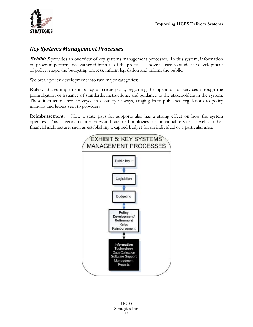<span id="page-25-0"></span>

#### *Key Systems Management Processes*

**Exhibit 5** provides an overview of key systems management processes. In this system, information on program performance gathered from all of the processes above is used to guide the development of policy, shape the budgeting process, inform legislation and inform the public.

We break policy development into two major categories:

**Rules.** States implement policy or create policy regarding the operation of services through the promulgation or issuance of standards, instructions, and guidance to the stakeholders in the system. These instructions are conveyed in a variety of ways, ranging from published regulations to policy manuals and letters sent to providers.

**Reimbursement.** How a state pays for supports also has a strong effect on how the system operates. This category includes rates and rate methodologies for individual services as well as other financial architecture, such as establishing a capped budget for an individual or a particular area.



HCBS Strategies Inc. 25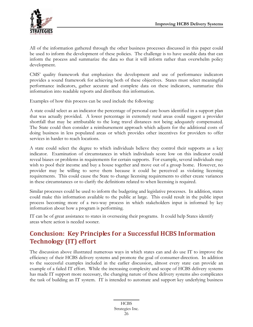<span id="page-26-0"></span>

All of the information gathered through the other business processes discussed in this paper could be used to inform the development of these policies. The challenge is to have useable data that can inform the process and summarize the data so that it will inform rather than overwhelm policy development.

CMS' quality framework that emphasizes the development and use of performance indicators provides a sound framework for achieving both of these objectives. States must select meaningful performance indicators, gather accurate and complete data on these indicators, summarize this information into readable reports and distribute this information.

Examples of how this process can be used include the following:

A state could select as an indicator the percentage of personal care hours identified in a support plan that was actually provided. A lower percentage in extremely rural areas could suggest a provider shortfall that may be attributable to the long travel distances not being adequately compensated. The State could then consider a reimbursement approach which adjusts for the additional costs of doing business in less populated areas or which provides other incentives for providers to offer services in harder to reach locations.

A state could select the degree to which individuals believe they control their supports as a key indicator. Examination of circumstances in which individuals score low on this indicator could reveal biases or problems in requirements for certain supports. For example, several individuals may wish to pool their income and buy a house together and move out of a group home. However, no provider may be willing to serve them because it could be perceived as violating licensing requirements. This could cause the State to change licensing requirements to either create variances in these circumstances or to clarify the definitions related to when licensing is required.

Similar processes could be used to inform the budgeting and legislative processes. In addition, states could make this information available to the public at large. This could result in the public input process becoming more of a two-way process in which stakeholders input is informed by key information about how a program is performing.

IT can be of great assistance to states in overseeing their programs. It could help States identify areas where action is needed sooner.

# **Conclusion: Key Principles for a Successful HCBS Information Technology (IT) effort**

The discussion above illustrated numerous ways in which states can and do use IT to improve the efficiency of their HCBS delivery systems and promote the goal of consumer-direction. In addition to the successful examples included in the earlier discussion, almost every state can provide an example of a failed IT effort. While the increasing complexity and scope of HCBS delivery systems has made IT support more necessary, the changing nature of these delivery systems also complicates the task of building an IT system. IT is intended to automate and support key underlying business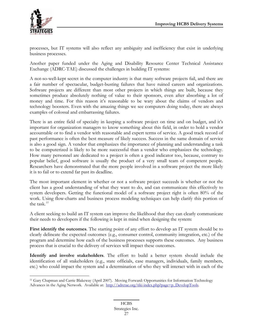<span id="page-27-0"></span>

 $\overline{a}$ 

processes, but IT systems will also reflect any ambiguity and inefficiency that exist in underlying business processes.

Another paper funded under the Aging and Disability Resource Center Technical Assistance Exchange (ADRC-TAE) discussed the challenges in building IT systems:

A not-so-well-kept secret in the computer industry is that many software projects fail, and there are a fair number of spectacular, budget-busting failures that have ruined careers and organizations. Software projects are different than most other projects in which things are built, because they sometimes produce absolutely nothing of value to their sponsors, even after absorbing a lot of money and time. For this reason it's reasonable to be wary about the claims of vendors and technology boosters. Even with the amazing things we see computers doing today, there are always examples of colossal and embarrassing failures.

There is an entire field of specialty in keeping a software project on time and on budget, and it's important for organization managers to know something about this field, in order to hold a vendor accountable or to find a vendor with reasonable and expert terms of service. A good track record of past performance is often the best measure of likely success. Success in the same domain of service is also a good sign. A vendor that emphasizes the importance of planning and understanding a task to be computerized is likely to be more successful than a vendor who emphasizes the technology. How many personnel are dedicated to a project is often a good indicator too, because, contrary to popular belief, good software is usually the product of a very small team of competent people. Researchers have demonstrated that the more people involved in a software project the more likely it is to fail or to extend far past its deadline.

The most important element in whether or not a software project succeeds is whether or not the client has a good understanding of what they want to do, and can communicate this effectively to system developers. Getting the functional model of a software project right is often 80% of the work. Using flow-charts and business process modeling techniques can help clarify this portion of the task.*[11](#page-27-0)*

A client seeking to build an IT system can improve the likelihood that they can clearly communicate their needs to developers if the following is kept in mind when designing the system:

First identify the outcomes. The starting point of any effort to develop an IT system should be to clearly delineate the expected outcomes (e.g., consumer control, community integration, etc.) of the program and determine how each of the business processes supports these outcomes. Any business process that is crucial to the delivery of services will impact these outcomes.

**Identify and involve stakeholders**. The effort to build a better system should include the identification of all stakeholders (e.g., state officials, case managers, individuals, family members, etc.) who could impact the system and a determination of who they will interact with in each of the

<sup>11</sup> Gary Chapman and Carrie Blakeway (April 2007). Moving Forward: Opportunities for Information Technology Advances in the Aging Network. Available at: [http://adrctae.org/tiki-index.php?page=p\\_DevelopTools](http://adrctae.org/tiki-index.php?page=p_DevelopTools).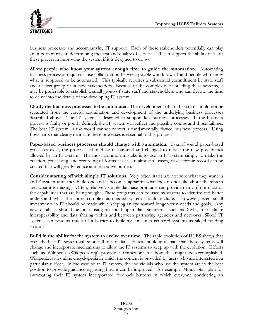

business processes and accompanying IT support. Each of these stakeholders potentially can play an important role in determining the cost and quality of services. IT can support the ability of all of these players in improving the system if it is designed to do so.

**Allow people who know your system enough time to guide the automation**. Automating business processes requires close collaboration between people who know IT and people who know what is supposed to be automated. This typically requires a substantial commitment by state staff and a select group of outside stakeholders. Because of the complexity of building these systems, it may be preferable to establish a small group of state staff and stakeholders who can devote the time to delve into the details of the developing IT system.

**Clarify the business processes to be automated**. The development of an IT system should not be separated from the careful examination and development of the underlying business processes described above. The IT system is designed to support key business processes. If the business process is faulty or poorly defined, the IT system will reflect and possibly compound those failings. The best IT system in the world cannot correct a fundamentally flawed business process. Using flowcharts that clearly delineate these processes is essential to this process.

**Paper-based business processes should change with automation**. Even if sound paper-based processes exist, the processes should be reexamined and changed to reflect the new possibilities allowed by an IT system. The most common mistake is to use an IT system simply to make the creation, processing, and recording of forms easier. In almost all cases, an electronic record can be created that will greatly reduce administrative burden.

**Consider starting off with simple IT solutions**. Very often states are not sure what they want in an IT system until they build one and it becomes apparent what they do not like about the system and what it is missing. Often, relatively simple database programs can provide many, if not most of the capabilities that are being sought. These programs can be used as starters to identify and better understand what the more complex automated system should include. However, even small investments in IT should be made while keeping an eye toward longer-term needs and goals. Any new database should be built using accepted open data standards, such as XML, to facilitate interoperability and data sharing within and between partnering agencies and networks. Siloed IT systems can pose as much of a barrier to building consumer-centered systems as siloed funding streams.

**Build in the ability for the system to evolve over time**. The rapid evolution of HCBS shows that even the best IT system will soon fall out of date. States should anticipate that these systems will change and incorporate mechanisms to allow the IT systems to keep up with the evolution. Efforts such as Wikipedia (Wikipedia.org) provide a framework for how this might be accomplished. Wikipedia is an online encyclopedia in which the content is provided by users who are interested in a particular subject. In the case of an IT system, the individuals who use the system are in the best position to provide guidance regarding how it can be improved. For example, Minnesota's plan for automating their IT system incorporated feedback buttons in which everyone conducting an